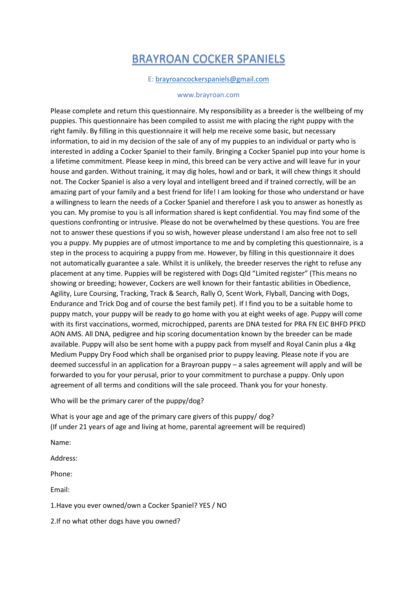## BRAYROAN COCKER SPANIELS

## E: [brayroancockerspaniels@gmail.com](mailto:brayroancockerspaniels@gmail.com)

## www.brayroan.com

Please complete and return this questionnaire. My responsibility as a breeder is the wellbeing of my puppies. This questionnaire has been compiled to assist me with placing the right puppy with the right family. By filling in this questionnaire it will help me receive some basic, but necessary information, to aid in my decision of the sale of any of my puppies to an individual or party who is interested in adding a Cocker Spaniel to their family. Bringing a Cocker Spaniel pup into your home is a lifetime commitment. Please keep in mind, this breed can be very active and will leave fur in your house and garden. Without training, it may dig holes, howl and or bark, it will chew things it should not. The Cocker Spaniel is also a very loyal and intelligent breed and if trained correctly, will be an amazing part of your family and a best friend for life! I am looking for those who understand or have a willingness to learn the needs of a Cocker Spaniel and therefore I ask you to answer as honestly as you can. My promise to you is all information shared is kept confidential. You may find some of the questions confronting or intrusive. Please do not be overwhelmed by these questions. You are free not to answer these questions if you so wish, however please understand I am also free not to sell you a puppy. My puppies are of utmost importance to me and by completing this questionnaire, is a step in the process to acquiring a puppy from me. However, by filling in this questionnaire it does not automatically guarantee a sale. Whilst it is unlikely, the breeder reserves the right to refuse any placement at any time. Puppies will be registered with Dogs Qld "Limited register" (This means no showing or breeding; however, Cockers are well known for their fantastic abilities in Obedience, Agility, Lure Coursing, Tracking, Track & Search, Rally O, Scent Work, Flyball, Dancing with Dogs, Endurance and Trick Dog and of course the best family pet). If I find you to be a suitable home to puppy match, your puppy will be ready to go home with you at eight weeks of age. Puppy will come with its first vaccinations, wormed, microchipped, parents are DNA tested for PRA FN EIC BHFD PFKD AON AMS. All DNA, pedigree and hip scoring documentation known by the breeder can be made available. Puppy will also be sent home with a puppy pack from myself and Royal Canin plus a 4kg Medium Puppy Dry Food which shall be organised prior to puppy leaving. Please note if you are deemed successful in an application for a Brayroan puppy – a sales agreement will apply and will be forwarded to you for your perusal, prior to your commitment to purchase a puppy. Only upon agreement of all terms and conditions will the sale proceed. Thank you for your honesty.

Who will be the primary carer of the puppy/dog?

What is your age and age of the primary care givers of this puppy/ dog? (If under 21 years of age and living at home, parental agreement will be required)

Name:

Address:

Phone:

Email:

1.Have you ever owned/own a Cocker Spaniel? YES / NO

2.If no what other dogs have you owned?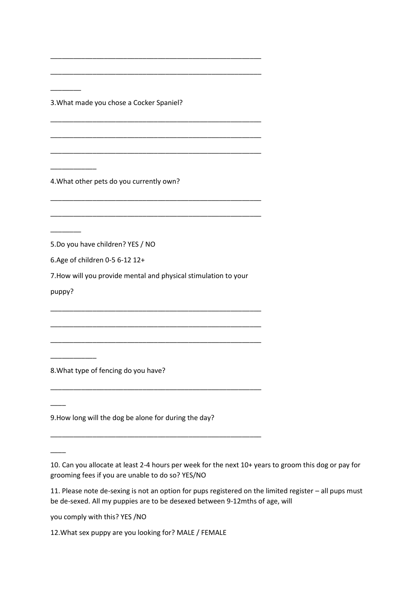3.What made you chose a Cocker Spaniel?

\_\_\_\_\_\_\_\_\_\_\_\_\_\_\_\_\_\_\_\_\_\_\_\_\_\_\_\_\_\_\_\_\_\_\_\_\_\_\_\_\_\_\_\_\_\_\_\_\_\_\_\_\_\_\_

\_\_\_\_\_\_\_\_\_\_\_\_\_\_\_\_\_\_\_\_\_\_\_\_\_\_\_\_\_\_\_\_\_\_\_\_\_\_\_\_\_\_\_\_\_\_\_\_\_\_\_\_\_\_\_

\_\_\_\_\_\_\_\_\_\_\_\_\_\_\_\_\_\_\_\_\_\_\_\_\_\_\_\_\_\_\_\_\_\_\_\_\_\_\_\_\_\_\_\_\_\_\_\_\_\_\_\_\_\_\_

\_\_\_\_\_\_\_\_\_\_\_\_\_\_\_\_\_\_\_\_\_\_\_\_\_\_\_\_\_\_\_\_\_\_\_\_\_\_\_\_\_\_\_\_\_\_\_\_\_\_\_\_\_\_\_

\_\_\_\_\_\_\_\_\_\_\_\_\_\_\_\_\_\_\_\_\_\_\_\_\_\_\_\_\_\_\_\_\_\_\_\_\_\_\_\_\_\_\_\_\_\_\_\_\_\_\_\_\_\_\_

\_\_\_\_\_\_\_\_\_\_\_\_\_\_\_\_\_\_\_\_\_\_\_\_\_\_\_\_\_\_\_\_\_\_\_\_\_\_\_\_\_\_\_\_\_\_\_\_\_\_\_\_\_\_\_

\_\_\_\_\_\_\_\_\_\_\_\_\_\_\_\_\_\_\_\_\_\_\_\_\_\_\_\_\_\_\_\_\_\_\_\_\_\_\_\_\_\_\_\_\_\_\_\_\_\_\_\_\_\_\_

4.What other pets do you currently own?

5.Do you have children? YES / NO

6.Age of children 0-5 6-12 12+

7.How will you provide mental and physical stimulation to your

\_\_\_\_\_\_\_\_\_\_\_\_\_\_\_\_\_\_\_\_\_\_\_\_\_\_\_\_\_\_\_\_\_\_\_\_\_\_\_\_\_\_\_\_\_\_\_\_\_\_\_\_\_\_\_

\_\_\_\_\_\_\_\_\_\_\_\_\_\_\_\_\_\_\_\_\_\_\_\_\_\_\_\_\_\_\_\_\_\_\_\_\_\_\_\_\_\_\_\_\_\_\_\_\_\_\_\_\_\_\_

\_\_\_\_\_\_\_\_\_\_\_\_\_\_\_\_\_\_\_\_\_\_\_\_\_\_\_\_\_\_\_\_\_\_\_\_\_\_\_\_\_\_\_\_\_\_\_\_\_\_\_\_\_\_\_

\_\_\_\_\_\_\_\_\_\_\_\_\_\_\_\_\_\_\_\_\_\_\_\_\_\_\_\_\_\_\_\_\_\_\_\_\_\_\_\_\_\_\_\_\_\_\_\_\_\_\_\_\_\_\_

\_\_\_\_\_\_\_\_\_\_\_\_\_\_\_\_\_\_\_\_\_\_\_\_\_\_\_\_\_\_\_\_\_\_\_\_\_\_\_\_\_\_\_\_\_\_\_\_\_\_\_\_\_\_\_

puppy?

\_\_\_\_\_\_\_\_\_\_\_\_

 $\overline{\phantom{a}}$ 

 $\overline{\phantom{a}}$ 

 $\overline{\phantom{a}}$  ,  $\overline{\phantom{a}}$  ,  $\overline{\phantom{a}}$  ,  $\overline{\phantom{a}}$  ,  $\overline{\phantom{a}}$  ,  $\overline{\phantom{a}}$  ,  $\overline{\phantom{a}}$  ,  $\overline{\phantom{a}}$  ,  $\overline{\phantom{a}}$  ,  $\overline{\phantom{a}}$  ,  $\overline{\phantom{a}}$  ,  $\overline{\phantom{a}}$  ,  $\overline{\phantom{a}}$  ,  $\overline{\phantom{a}}$  ,  $\overline{\phantom{a}}$  ,  $\overline{\phantom{a}}$ 

 $\overline{\phantom{a}}$  ,  $\overline{\phantom{a}}$  ,  $\overline{\phantom{a}}$  ,  $\overline{\phantom{a}}$  ,  $\overline{\phantom{a}}$  ,  $\overline{\phantom{a}}$  ,  $\overline{\phantom{a}}$  ,  $\overline{\phantom{a}}$  ,  $\overline{\phantom{a}}$  ,  $\overline{\phantom{a}}$  ,  $\overline{\phantom{a}}$  ,  $\overline{\phantom{a}}$  ,  $\overline{\phantom{a}}$  ,  $\overline{\phantom{a}}$  ,  $\overline{\phantom{a}}$  ,  $\overline{\phantom{a}}$ 

\_\_\_\_\_\_\_\_\_\_\_\_

8.What type of fencing do you have?

9.How long will the dog be alone for during the day?

10. Can you allocate at least 2-4 hours per week for the next 10+ years to groom this dog or pay for grooming fees if you are unable to do so? YES/NO

11. Please note de-sexing is not an option for pups registered on the limited register – all pups must be de-sexed. All my puppies are to be desexed between 9-12mths of age, will

you comply with this? YES /NO

12.What sex puppy are you looking for? MALE / FEMALE